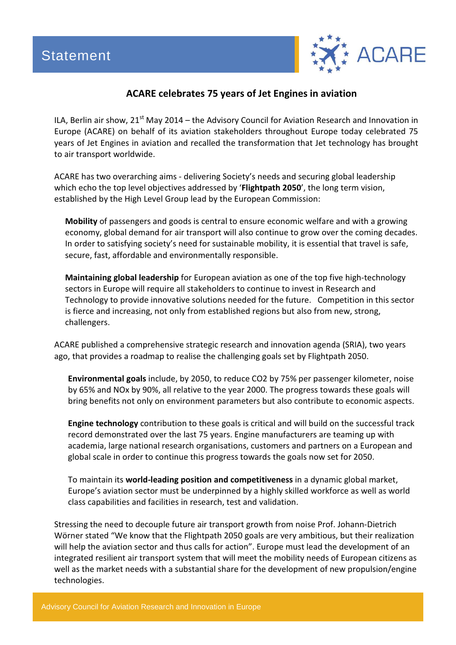

## ACARE celebrates 75 years of Jet Engines in aviation

ILA, Berlin air show,  $21^{st}$  May 2014 – the Advisory Council for Aviation Research and Innovation in Europe (ACARE) on behalf of its aviation stakeholders throughout Europe today celebrated 75 years of Jet Engines in aviation and recalled the transformation that Jet technology has brought to air transport worldwide.

ACARE has two overarching aims - delivering Society's needs and securing global leadership which echo the top level objectives addressed by 'Flightpath 2050', the long term vision, established by the High Level Group lead by the European Commission:

Mobility of passengers and goods is central to ensure economic welfare and with a growing economy, global demand for air transport will also continue to grow over the coming decades. In order to satisfying society's need for sustainable mobility, it is essential that travel is safe, secure, fast, affordable and environmentally responsible.

Maintaining global leadership for European aviation as one of the top five high-technology sectors in Europe will require all stakeholders to continue to invest in Research and Technology to provide innovative solutions needed for the future. Competition in this sector is fierce and increasing, not only from established regions but also from new, strong, challengers.

ACARE published a comprehensive strategic research and innovation agenda (SRIA), two years ago, that provides a roadmap to realise the challenging goals set by Flightpath 2050.

Environmental goals include, by 2050, to reduce CO2 by 75% per passenger kilometer, noise by 65% and NOx by 90%, all relative to the year 2000. The progress towards these goals will bring benefits not only on environment parameters but also contribute to economic aspects.

Engine technology contribution to these goals is critical and will build on the successful track record demonstrated over the last 75 years. Engine manufacturers are teaming up with academia, large national research organisations, customers and partners on a European and global scale in order to continue this progress towards the goals now set for 2050.

To maintain its world-leading position and competitiveness in a dynamic global market, Europe's aviation sector must be underpinned by a highly skilled workforce as well as world class capabilities and facilities in research, test and validation.

Stressing the need to decouple future air transport growth from noise Prof. Johann-Dietrich Wörner stated "We know that the Flightpath 2050 goals are very ambitious, but their realization will help the aviation sector and thus calls for action". Europe must lead the development of an integrated resilient air transport system that will meet the mobility needs of European citizens as well as the market needs with a substantial share for the development of new propulsion/engine technologies.